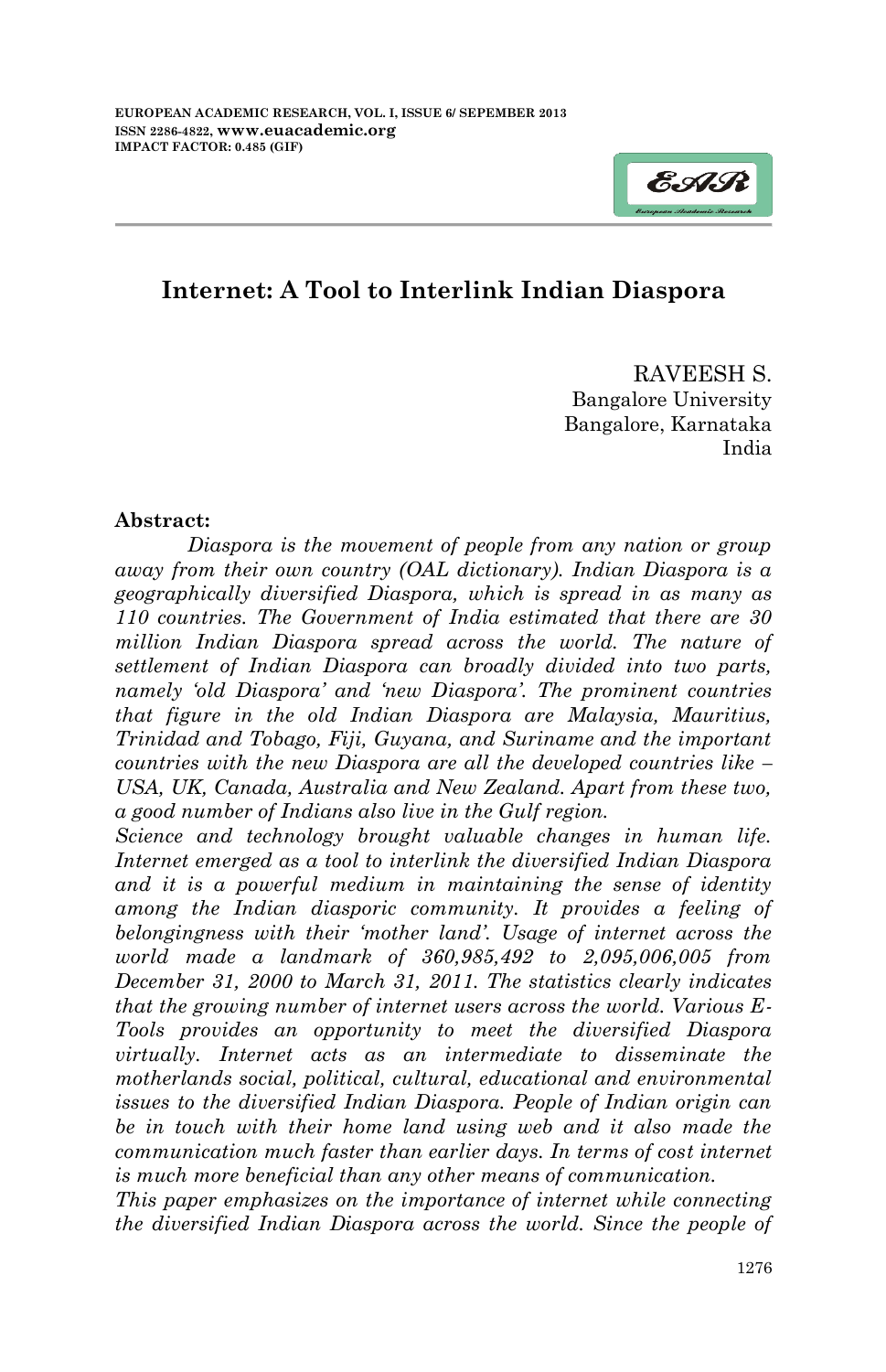

# **Internet: A Tool to Interlink Indian Diaspora**

RAVEESH S. Bangalore University Bangalore, Karnataka India

#### **Abstract:**

*Diaspora is the movement of people from any nation or group away from their own country (OAL dictionary). Indian Diaspora is a geographically diversified Diaspora, which is spread in as many as 110 countries. The Government of India estimated that there are 30 million Indian Diaspora spread across the world. The nature of settlement of Indian Diaspora can broadly divided into two parts, namely 'old Diaspora' and 'new Diaspora'. The prominent countries that figure in the old Indian Diaspora are Malaysia, Mauritius, Trinidad and Tobago, Fiji, Guyana, and Suriname and the important countries with the new Diaspora are all the developed countries like – USA, UK, Canada, Australia and New Zealand. Apart from these two, a good number of Indians also live in the Gulf region.* 

*Science and technology brought valuable changes in human life. Internet emerged as a tool to interlink the diversified Indian Diaspora and it is a powerful medium in maintaining the sense of identity among the Indian diasporic community. It provides a feeling of belongingness with their 'mother land'. Usage of internet across the world made a landmark of 360,985,492 to 2,095,006,005 from December 31, 2000 to March 31, 2011. The statistics clearly indicates that the growing number of internet users across the world. Various E-Tools provides an opportunity to meet the diversified Diaspora virtually. Internet acts as an intermediate to disseminate the motherlands social, political, cultural, educational and environmental issues to the diversified Indian Diaspora. People of Indian origin can be in touch with their home land using web and it also made the communication much faster than earlier days. In terms of cost internet is much more beneficial than any other means of communication.* 

*This paper emphasizes on the importance of internet while connecting the diversified Indian Diaspora across the world. Since the people of*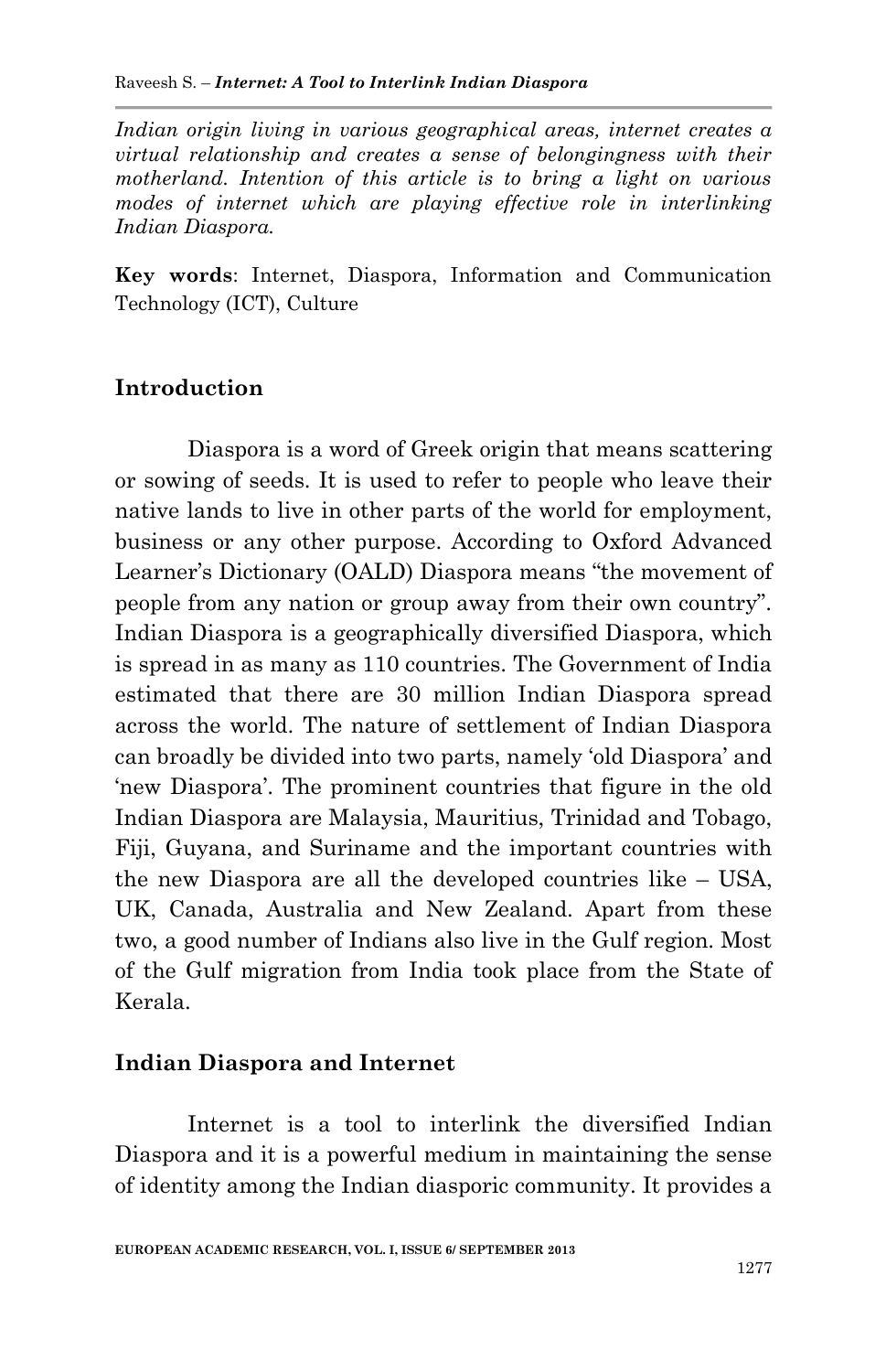*Indian origin living in various geographical areas, internet creates a virtual relationship and creates a sense of belongingness with their motherland. Intention of this article is to bring a light on various modes of internet which are playing effective role in interlinking Indian Diaspora.* 

**Key words**: Internet, Diaspora, Information and Communication Technology (ICT), Culture

# **Introduction**

Diaspora is a word of Greek origin that means scattering or sowing of seeds. It is used to refer to people who leave their native lands to live in other parts of the world for employment, business or any other purpose. According to Oxford Advanced Learner's Dictionary (OALD) Diaspora means "the movement of people from any nation or group away from their own country". Indian Diaspora is a geographically diversified Diaspora, which is spread in as many as 110 countries. The Government of India estimated that there are 30 million Indian Diaspora spread across the world. The nature of settlement of Indian Diaspora can broadly be divided into two parts, namely "old Diaspora" and new Diaspora'. The prominent countries that figure in the old Indian Diaspora are Malaysia, Mauritius, Trinidad and Tobago, Fiji, Guyana, and Suriname and the important countries with the new Diaspora are all the developed countries like – USA, UK, Canada, Australia and New Zealand. Apart from these two, a good number of Indians also live in the Gulf region. Most of the Gulf migration from India took place from the State of Kerala.

# **Indian Diaspora and Internet**

Internet is a tool to interlink the diversified Indian Diaspora and it is a powerful medium in maintaining the sense of identity among the Indian diasporic community. It provides a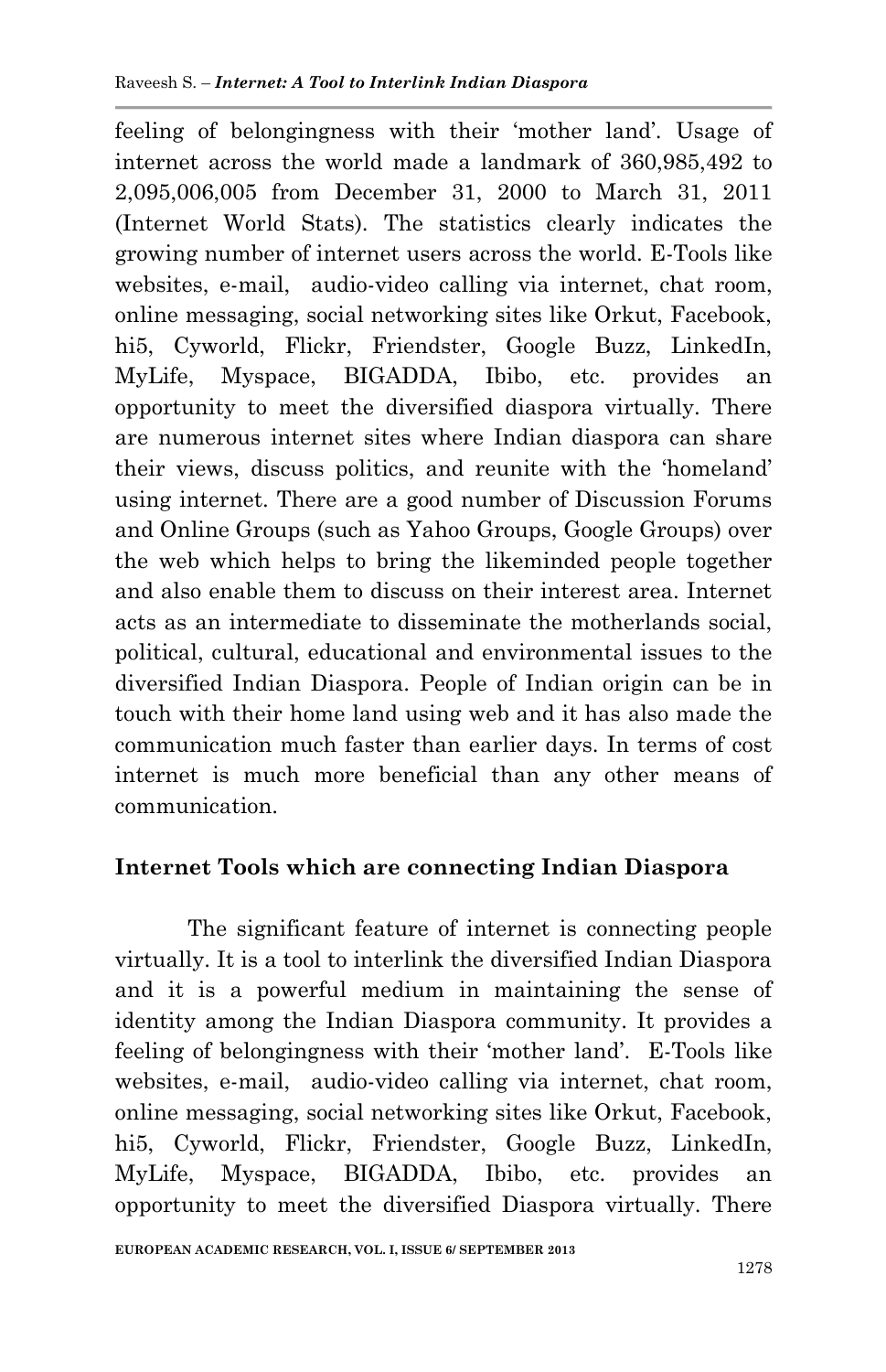feeling of belongingness with their "mother land". Usage of internet across the world made a landmark of 360,985,492 to 2,095,006,005 from December 31, 2000 to March 31, 2011 (Internet World Stats). The statistics clearly indicates the growing number of internet users across the world. E-Tools like websites, e-mail, audio-video calling via internet, chat room, online messaging, social networking sites like Orkut, Facebook, hi5, Cyworld, Flickr, Friendster, Google Buzz, LinkedIn, MyLife, Myspace, BIGADDA, Ibibo, etc. provides an opportunity to meet the diversified diaspora virtually. There are numerous internet sites where Indian diaspora can share their views, discuss politics, and reunite with the "homeland" using internet. There are a good number of Discussion Forums and Online Groups (such as Yahoo Groups, Google Groups) over the web which helps to bring the likeminded people together and also enable them to discuss on their interest area. Internet acts as an intermediate to disseminate the motherlands social, political, cultural, educational and environmental issues to the diversified Indian Diaspora. People of Indian origin can be in touch with their home land using web and it has also made the communication much faster than earlier days. In terms of cost internet is much more beneficial than any other means of communication.

# **Internet Tools which are connecting Indian Diaspora**

The significant feature of internet is connecting people virtually. It is a tool to interlink the diversified Indian Diaspora and it is a powerful medium in maintaining the sense of identity among the Indian Diaspora community. It provides a feeling of belongingness with their "mother land". E-Tools like websites, e-mail, audio-video calling via internet, chat room, online messaging, social networking sites like Orkut, Facebook, hi5, Cyworld, Flickr, Friendster, Google Buzz, LinkedIn, MyLife, Myspace, BIGADDA, Ibibo, etc. provides an opportunity to meet the diversified Diaspora virtually. There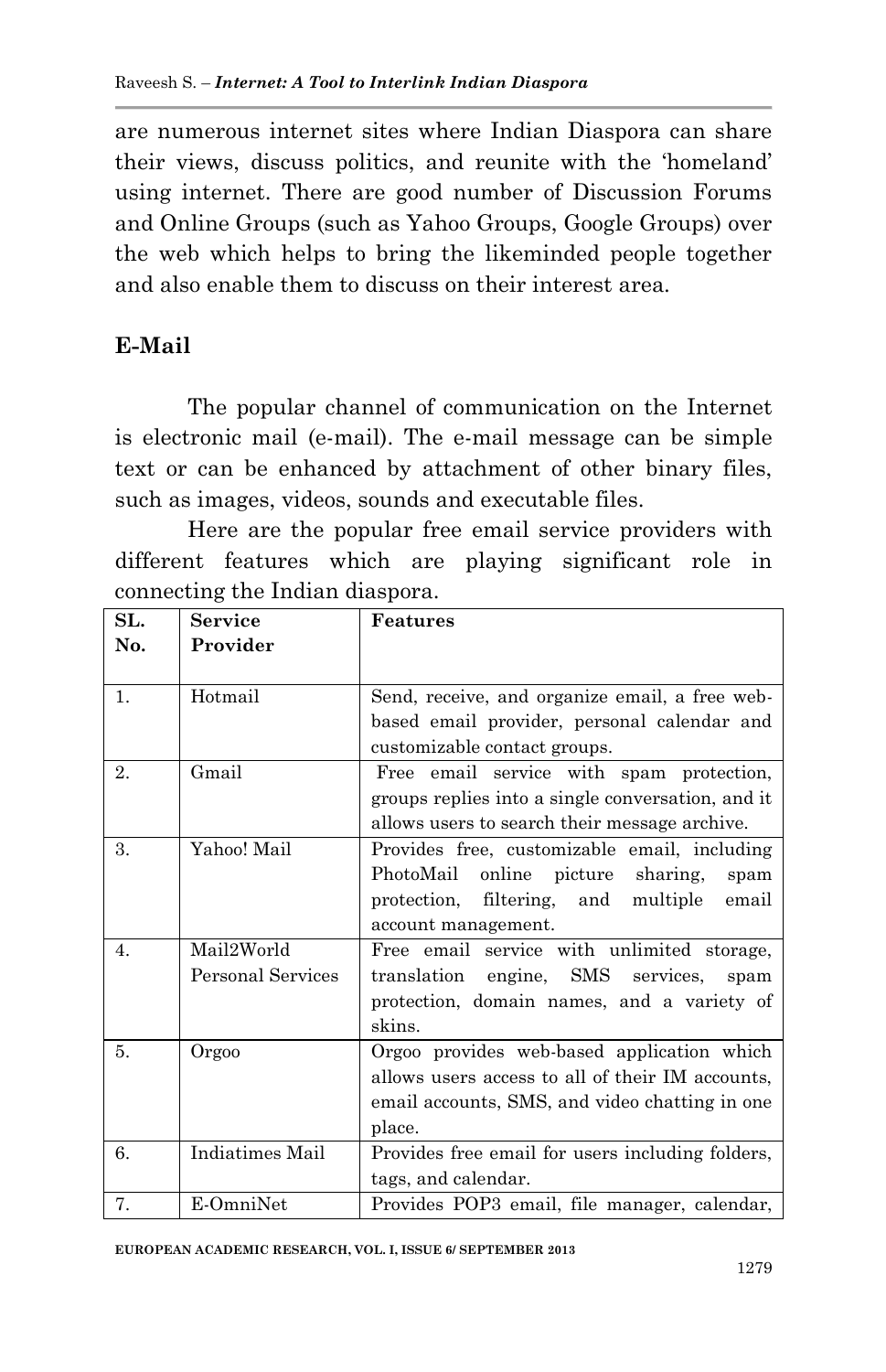are numerous internet sites where Indian Diaspora can share their views, discuss politics, and reunite with the "homeland" using internet. There are good number of Discussion Forums and Online Groups (such as Yahoo Groups, Google Groups) over the web which helps to bring the likeminded people together and also enable them to discuss on their interest area.

# **E-Mail**

The popular channel of communication on the Internet is electronic mail (e-mail). The e-mail message can be simple text or can be enhanced by attachment of other binary files, such as images, videos, sounds and executable files.

Here are the popular free email service providers with different features which are playing significant role in connecting the Indian diaspora.

| SL.              | <b>Service</b>         | Features                                          |  |  |  |
|------------------|------------------------|---------------------------------------------------|--|--|--|
| No.              | Provider               |                                                   |  |  |  |
|                  |                        |                                                   |  |  |  |
| $\mathbf{1}$ .   | Hotmail                | Send, receive, and organize email, a free web-    |  |  |  |
|                  |                        | based email provider, personal calendar and       |  |  |  |
|                  |                        | customizable contact groups.                      |  |  |  |
| $\overline{2}$ . | Gmail                  | Free email service with spam protection,          |  |  |  |
|                  |                        | groups replies into a single conversation, and it |  |  |  |
|                  |                        | allows users to search their message archive.     |  |  |  |
| 3.               | Yahoo! Mail            | Provides free, customizable email, including      |  |  |  |
|                  |                        | PhotoMail online picture<br>sharing,<br>spam      |  |  |  |
|                  |                        | filtering, and multiple<br>protection,<br>email   |  |  |  |
|                  |                        | account management.                               |  |  |  |
| 4.               | Mail2World             | Free email service with unlimited storage,        |  |  |  |
|                  | Personal Services      | translation engine, SMS services,<br>spam         |  |  |  |
|                  |                        | protection, domain names, and a variety of        |  |  |  |
|                  |                        | skins.                                            |  |  |  |
| 5.               | Orgoo                  | Orgoo provides web-based application which        |  |  |  |
|                  |                        | allows users access to all of their IM accounts,  |  |  |  |
|                  |                        | email accounts, SMS, and video chatting in one    |  |  |  |
|                  |                        | place.                                            |  |  |  |
| 6.               | <b>Indiatimes Mail</b> | Provides free email for users including folders,  |  |  |  |
|                  |                        | tags, and calendar.                               |  |  |  |
| 7.               | E-OmniNet              | Provides POP3 email, file manager, calendar,      |  |  |  |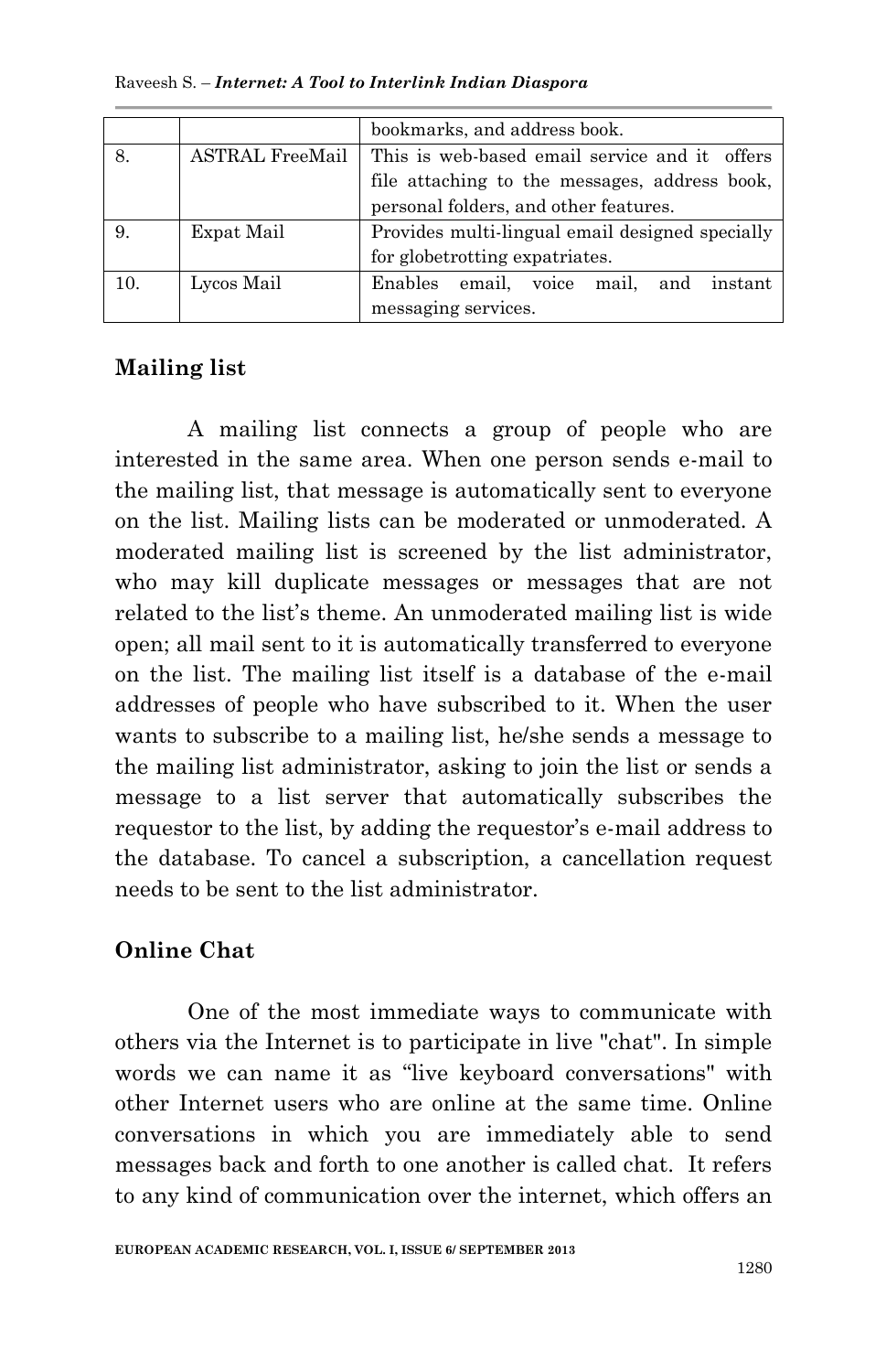| Raveesh S. – Internet: A Tool to Interlink Indian Diaspora |  |  |  |  |  |  |  |
|------------------------------------------------------------|--|--|--|--|--|--|--|
|------------------------------------------------------------|--|--|--|--|--|--|--|

|     |                        | bookmarks, and address book.                     |  |  |  |  |
|-----|------------------------|--------------------------------------------------|--|--|--|--|
| 8.  | <b>ASTRAL FreeMail</b> | This is web-based email service and it offers    |  |  |  |  |
|     |                        | file attaching to the messages, address book,    |  |  |  |  |
|     |                        | personal folders, and other features.            |  |  |  |  |
| 9.  | Expat Mail             | Provides multi-lingual email designed specially  |  |  |  |  |
|     |                        | for globetrotting expatriates.                   |  |  |  |  |
| 10. | Lycos Mail             | email, voice mail, and instant<br><b>Enables</b> |  |  |  |  |
|     |                        | messaging services.                              |  |  |  |  |

# **Mailing list**

A mailing list connects a group of people who are interested in the same area. When one person sends e-mail to the mailing list, that message is automatically sent to everyone on the list. Mailing lists can be moderated or unmoderated. A moderated mailing list is screened by the list administrator, who may kill duplicate messages or messages that are not related to the list"s theme. An unmoderated mailing list is wide open; all mail sent to it is automatically transferred to everyone on the list. The mailing list itself is a database of the e-mail addresses of people who have subscribed to it. When the user wants to subscribe to a mailing list, he/she sends a message to the mailing list administrator, asking to join the list or sends a message to a list server that automatically subscribes the requestor to the list, by adding the requestor's e-mail address to the database. To cancel a subscription, a cancellation request needs to be sent to the list administrator.

# **Online Chat**

One of the most immediate ways to communicate with others via the Internet is to participate in live "chat". In simple words we can name it as "live keyboard conversations" with other Internet users who are online at the same time. Online conversations in which you are immediately able to send messages back and forth to one another is called chat. It refers to any kind of communication over the internet, which offers an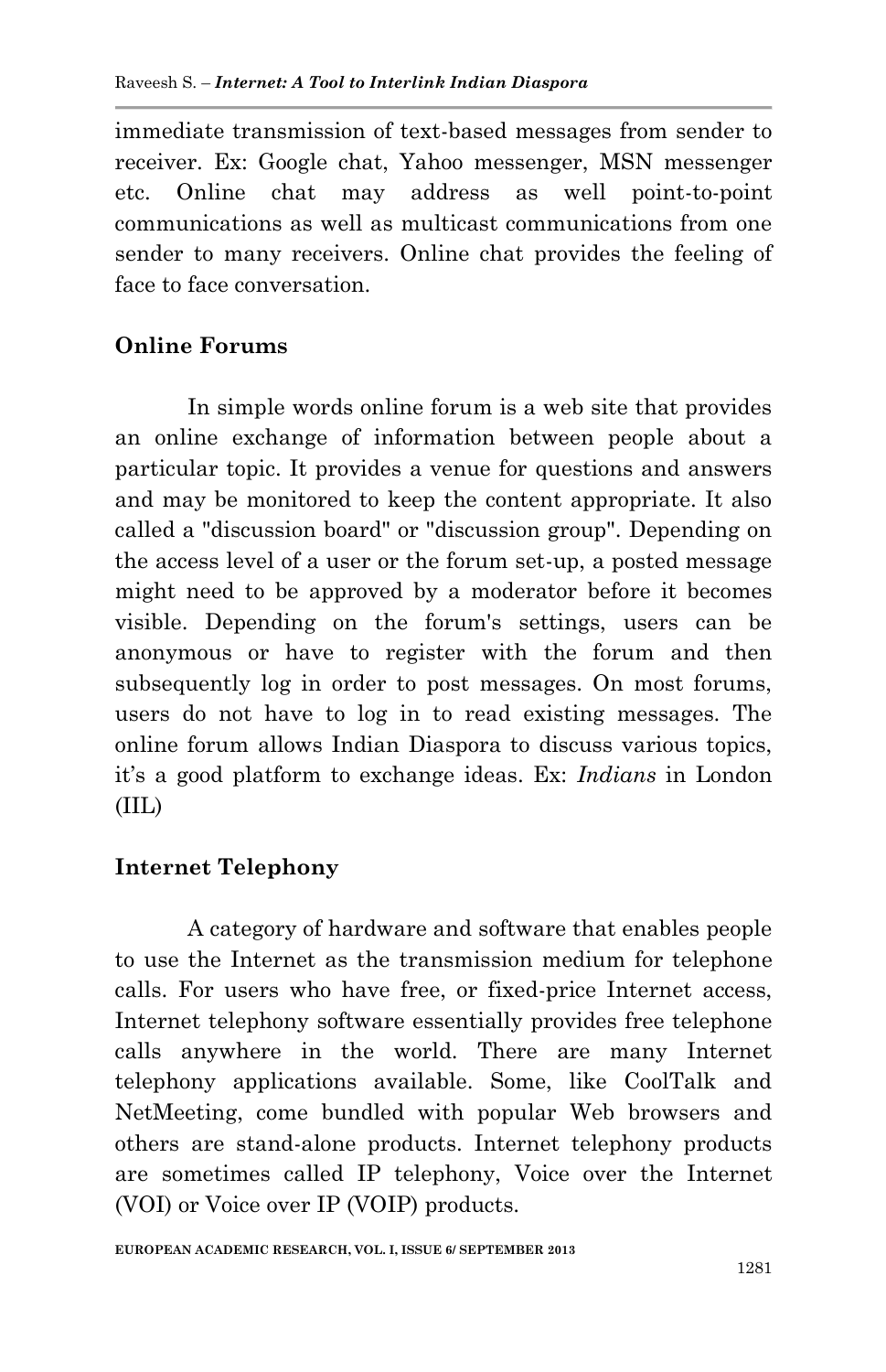immediate transmission of text-based messages from sender to receiver. Ex: Google chat, Yahoo messenger, MSN messenger etc. Online chat may address as well point-to-point communications as well as multicast communications from one sender to many receivers. Online chat provides the feeling of face to face conversation.

# **Online Forums**

In simple words online forum is a web site that provides an online exchange of information between people about a particular topic. It provides a venue for questions and answers and may be monitored to keep the content appropriate. It also called a "discussion board" or "discussion group". Depending on the access level of a user or the forum set-up, a posted message might need to be approved by a moderator before it becomes visible. Depending on the forum's settings, users can be anonymous or have to register with the forum and then subsequently log in order to post messages. On most forums, users do not have to log in to read existing messages. The online forum allows Indian Diaspora to discuss various topics, it"s a good platform to exchange ideas. Ex: *Indians* in London (IIL)

# **Internet Telephony**

A category of hardware and software that enables people to use the Internet as the transmission medium for telephone calls. For users who have free, or fixed-price Internet access, Internet telephony software essentially provides free telephone calls anywhere in the world. There are many Internet telephony applications available. Some, like CoolTalk and NetMeeting, come bundled with popular Web browsers and others are stand-alone products. Internet telephony products are sometimes called IP telephony, Voice over the Internet (VOI) or Voice over IP (VOIP) products.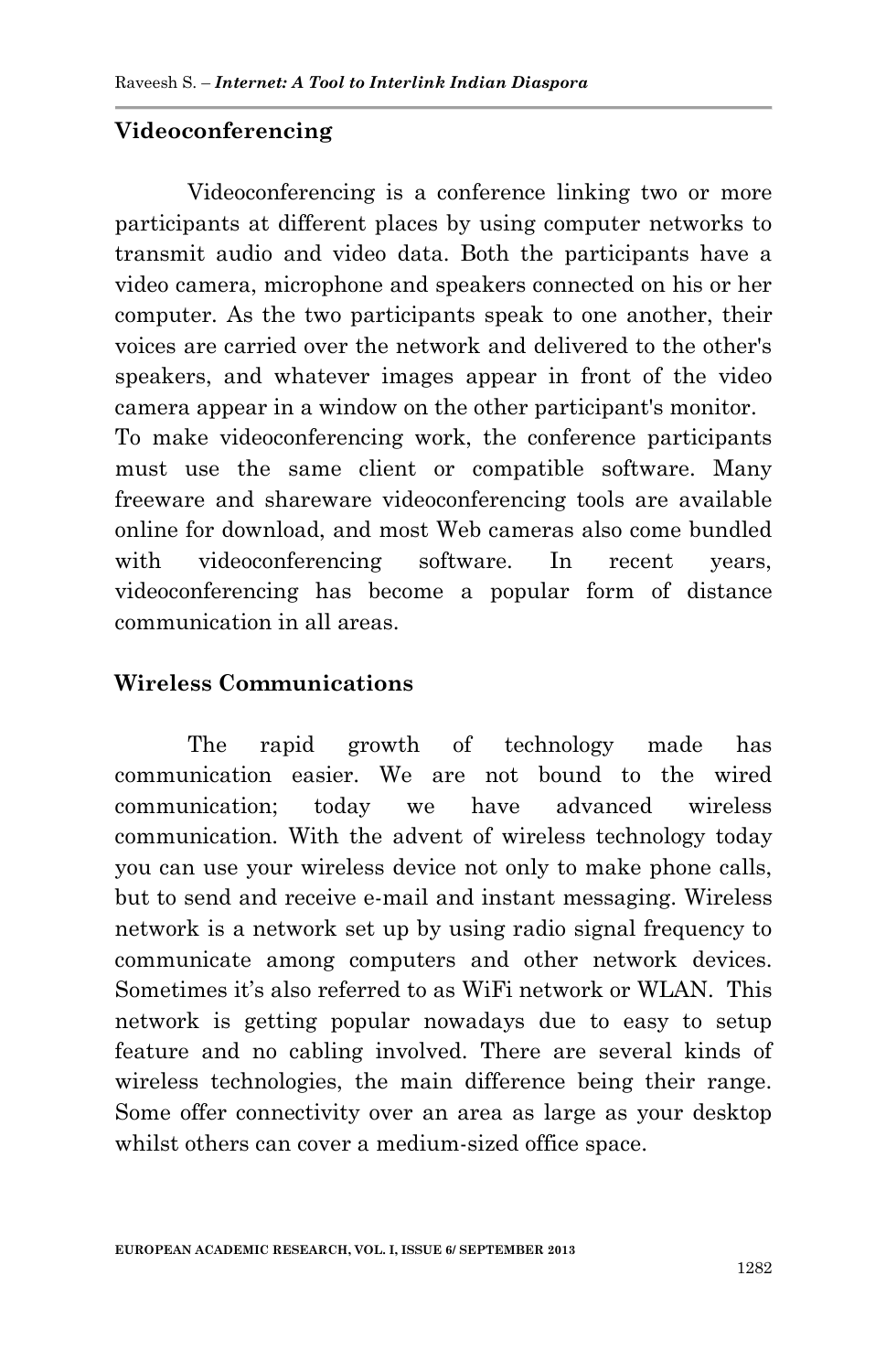### **Videoconferencing**

Videoconferencing is a conference linking two or more participants at different places by using computer networks to transmit audio and video data. Both the participants have a video camera, microphone and speakers connected on his or her computer. As the two participants speak to one another, their voices are carried over the network and delivered to the other's speakers, and whatever images appear in front of the video camera appear in a window on the other participant's monitor. To make videoconferencing work, the conference participants must use the same client or compatible software. Many freeware and shareware videoconferencing tools are available online for download, and most Web cameras also come bundled with videoconferencing software. In recent vears, videoconferencing has become a popular form of distance communication in all areas.

# **Wireless Communications**

The rapid growth of technology made has communication easier. We are not bound to the wired communication; today we have advanced wireless communication. With the advent of wireless technology today you can use your wireless device not only to make phone calls, but to send and receive e-mail and instant messaging. Wireless network is a network set up by using radio signal frequency to communicate among computers and other network devices. Sometimes it's also referred to as WiFi network or WLAN. This network is getting popular nowadays due to easy to setup feature and no cabling involved. There are several kinds of wireless technologies, the main difference being their range. Some offer connectivity over an area as large as your desktop whilst others can cover a medium-sized office space.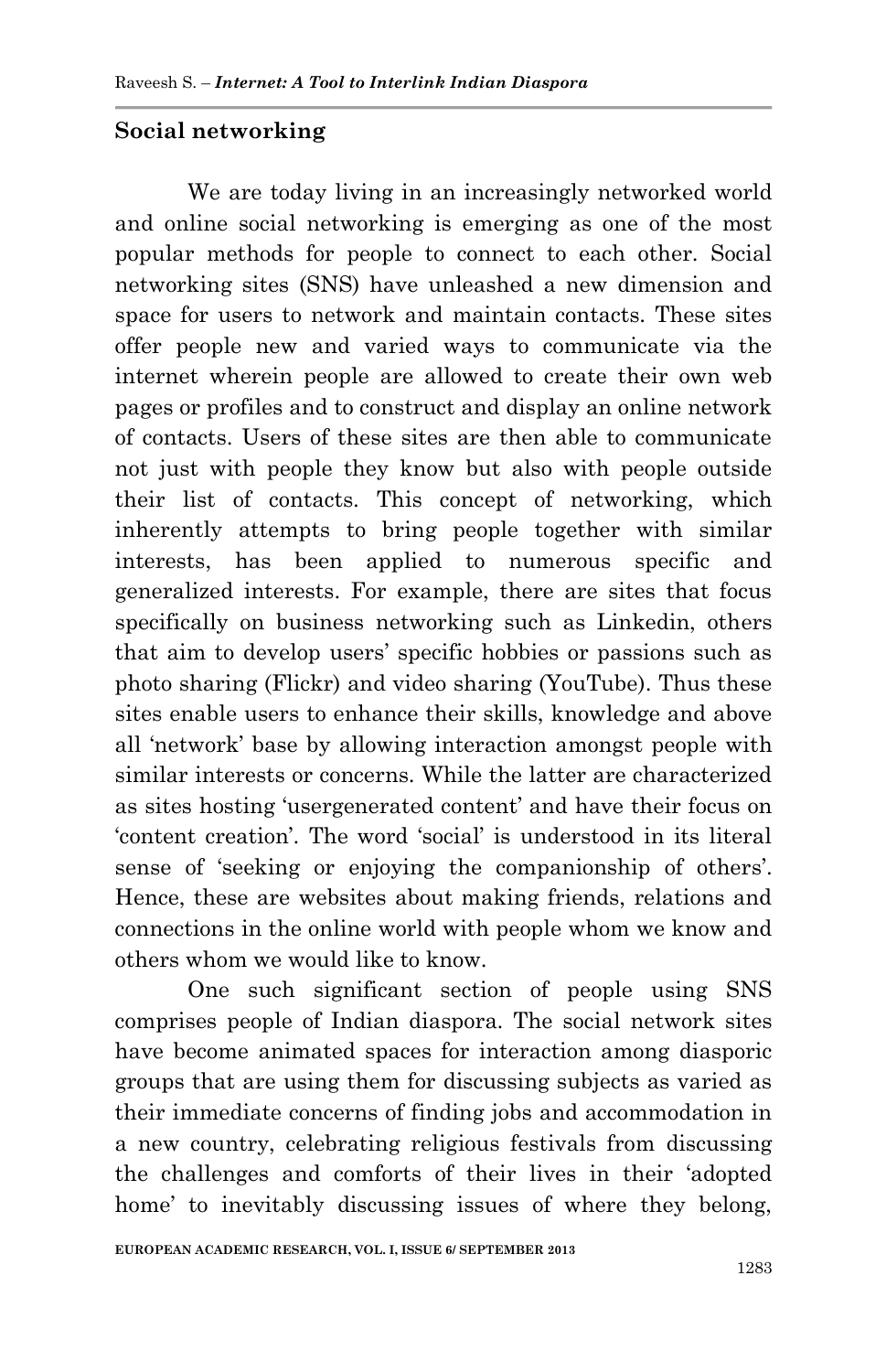#### **Social networking**

We are today living in an increasingly networked world and online social networking is emerging as one of the most popular methods for people to connect to each other. Social networking sites (SNS) have unleashed a new dimension and space for users to network and maintain contacts. These sites offer people new and varied ways to communicate via the internet wherein people are allowed to create their own web pages or profiles and to construct and display an online network of contacts. Users of these sites are then able to communicate not just with people they know but also with people outside their list of contacts. This concept of networking, which inherently attempts to bring people together with similar interests, has been applied to numerous specific and generalized interests. For example, there are sites that focus specifically on business networking such as Linkedin, others that aim to develop users" specific hobbies or passions such as photo sharing (Flickr) and video sharing (YouTube). Thus these sites enable users to enhance their skills, knowledge and above all "network" base by allowing interaction amongst people with similar interests or concerns. While the latter are characterized as sites hosting "usergenerated content" and have their focus on "content creation". The word "social" is understood in its literal sense of 'seeking or enjoying the companionship of others'. Hence, these are websites about making friends, relations and connections in the online world with people whom we know and others whom we would like to know.

One such significant section of people using SNS comprises people of Indian diaspora. The social network sites have become animated spaces for interaction among diasporic groups that are using them for discussing subjects as varied as their immediate concerns of finding jobs and accommodation in a new country, celebrating religious festivals from discussing the challenges and comforts of their lives in their "adopted home' to inevitably discussing issues of where they belong,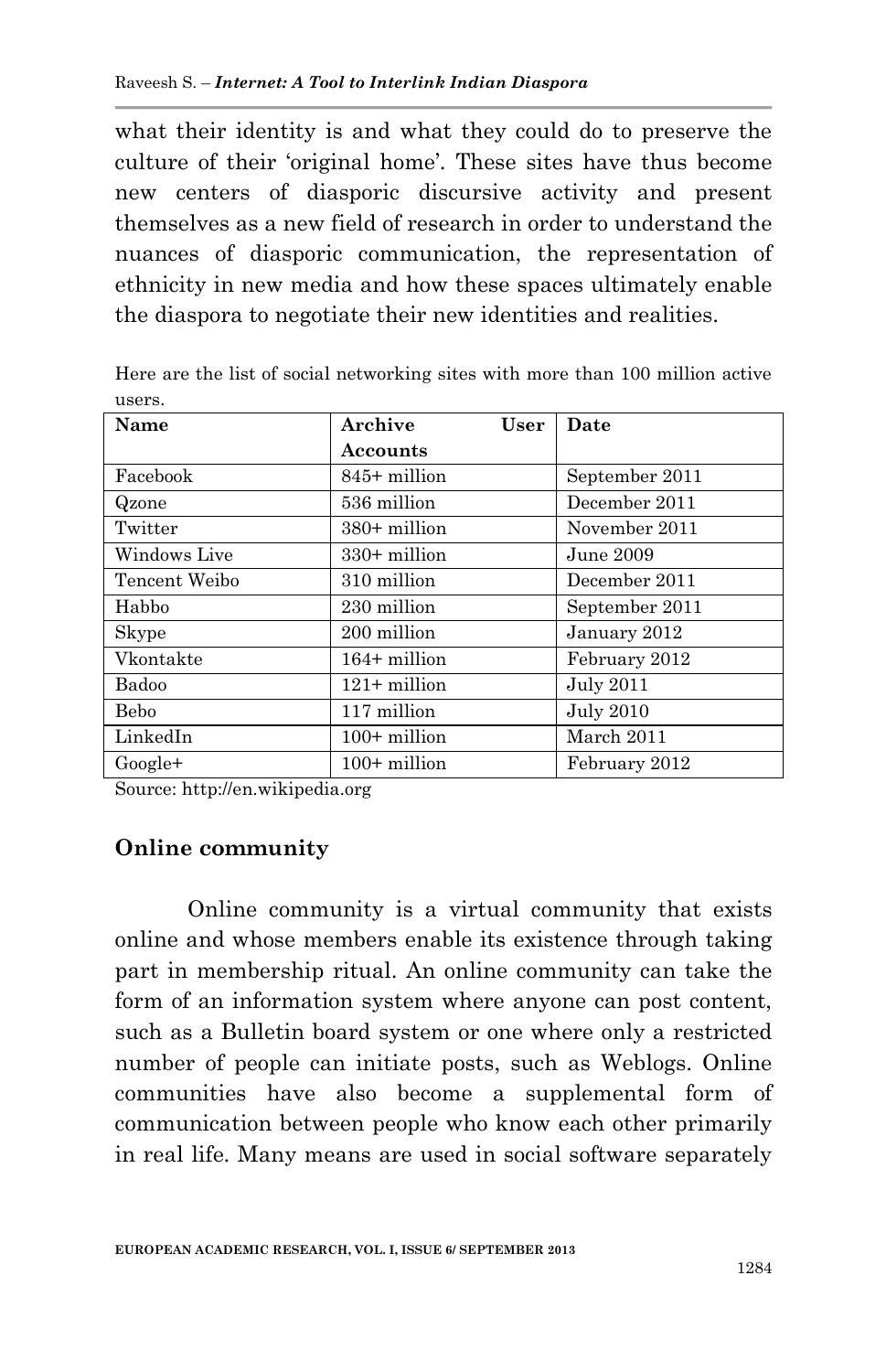what their identity is and what they could do to preserve the culture of their "original home". These sites have thus become new centers of diasporic discursive activity and present themselves as a new field of research in order to understand the nuances of diasporic communication, the representation of ethnicity in new media and how these spaces ultimately enable the diaspora to negotiate their new identities and realities.

| Name          | Archive        | User | Date             |
|---------------|----------------|------|------------------|
|               | Accounts       |      |                  |
| Facebook      | $845+$ million |      | September 2011   |
| Qzone         | 536 million    |      | December 2011    |
| Twitter       | $380+$ million |      | November 2011    |
| Windows Live  | $330+$ million |      | June 2009        |
| Tencent Weibo | 310 million    |      | December 2011    |
| Habbo         | 230 million    |      | September 2011   |
| Skype         | 200 million    |      | January 2012     |
| Vkontakte     | $164+$ million |      | February 2012    |
| Badoo         | $121+$ million |      | July 2011        |
| <b>Bebo</b>   | 117 million    |      | <b>July 2010</b> |
| LinkedIn      | $100+$ million |      | March 2011       |
| $Google+$     | $100+$ million |      | February 2012    |

Here are the list of social networking sites with more than 100 million active users.

Source: http://en.wikipedia.org

#### **Online community**

Online community is a virtual community that exists online and whose members enable its existence through taking part in membership ritual. An online community can take the form of an information system where anyone can post content, such as a Bulletin board system or one where only a restricted number of people can initiate posts, such as Weblogs. Online communities have also become a supplemental form of communication between people who know each other primarily in real life. Many means are used in social software separately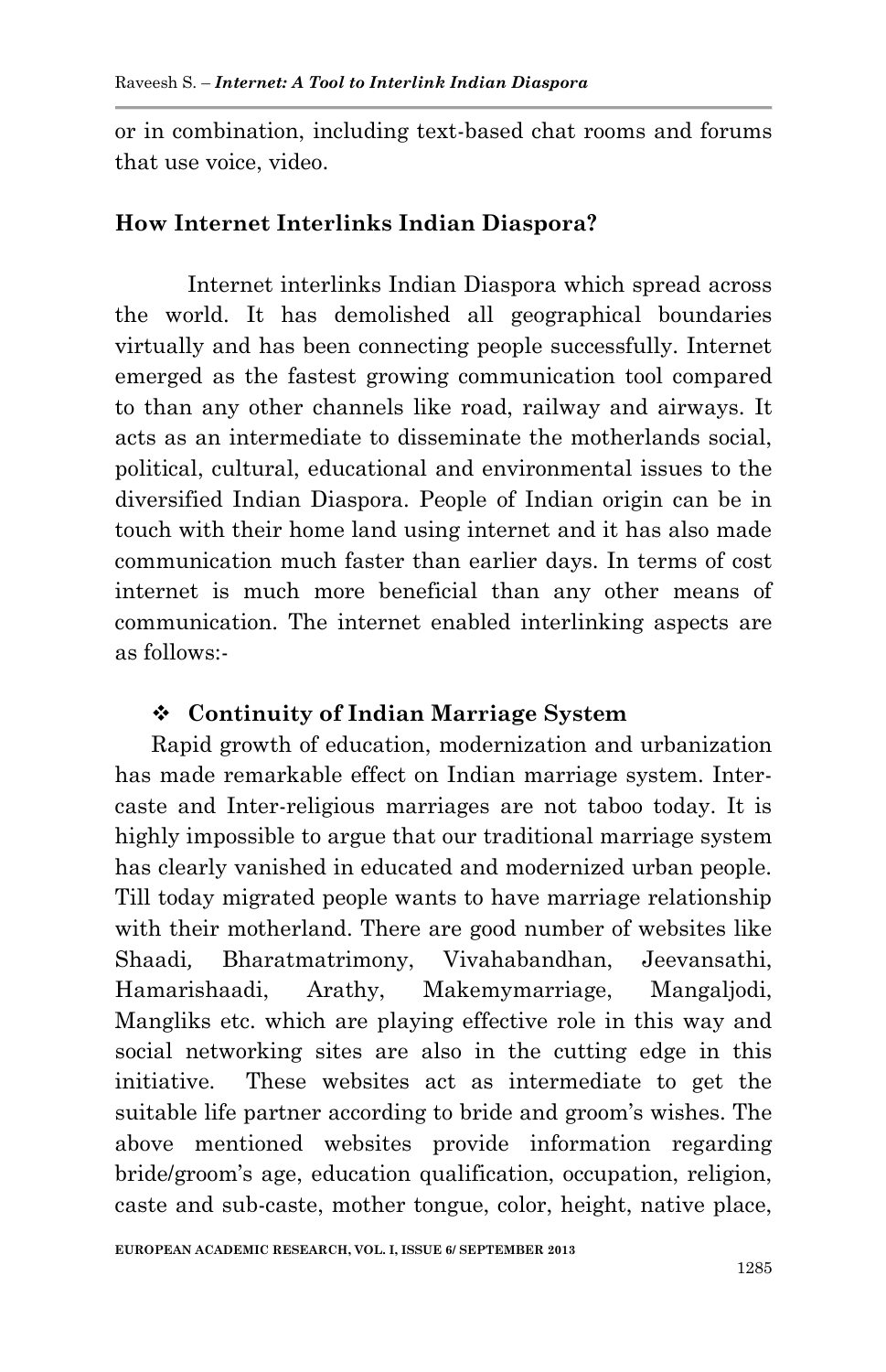or in combination, including text-based chat rooms and forums that use voice, video.

### **How Internet Interlinks Indian Diaspora?**

Internet interlinks Indian Diaspora which spread across the world. It has demolished all geographical boundaries virtually and has been connecting people successfully. Internet emerged as the fastest growing communication tool compared to than any other channels like road, railway and airways. It acts as an intermediate to disseminate the motherlands social, political, cultural, educational and environmental issues to the diversified Indian Diaspora. People of Indian origin can be in touch with their home land using internet and it has also made communication much faster than earlier days. In terms of cost internet is much more beneficial than any other means of communication. The internet enabled interlinking aspects are as follows:-

# **Continuity of Indian Marriage System**

Rapid growth of education, modernization and urbanization has made remarkable effect on Indian marriage system. Intercaste and Inter-religious marriages are not taboo today. It is highly impossible to argue that our traditional marriage system has clearly vanished in educated and modernized urban people. Till today migrated people wants to have marriage relationship with their motherland. There are good number of websites like Shaadi*,* Bharatmatrimony, Vivahabandhan, Jeevansathi, Hamarishaadi, Arathy, Makemymarriage, Mangaljodi, Mangliks etc. which are playing effective role in this way and social networking sites are also in the cutting edge in this initiative. These websites act as intermediate to get the suitable life partner according to bride and groom's wishes. The above mentioned websites provide information regarding bride/groom"s age, education qualification, occupation, religion, caste and sub-caste, mother tongue, color, height, native place,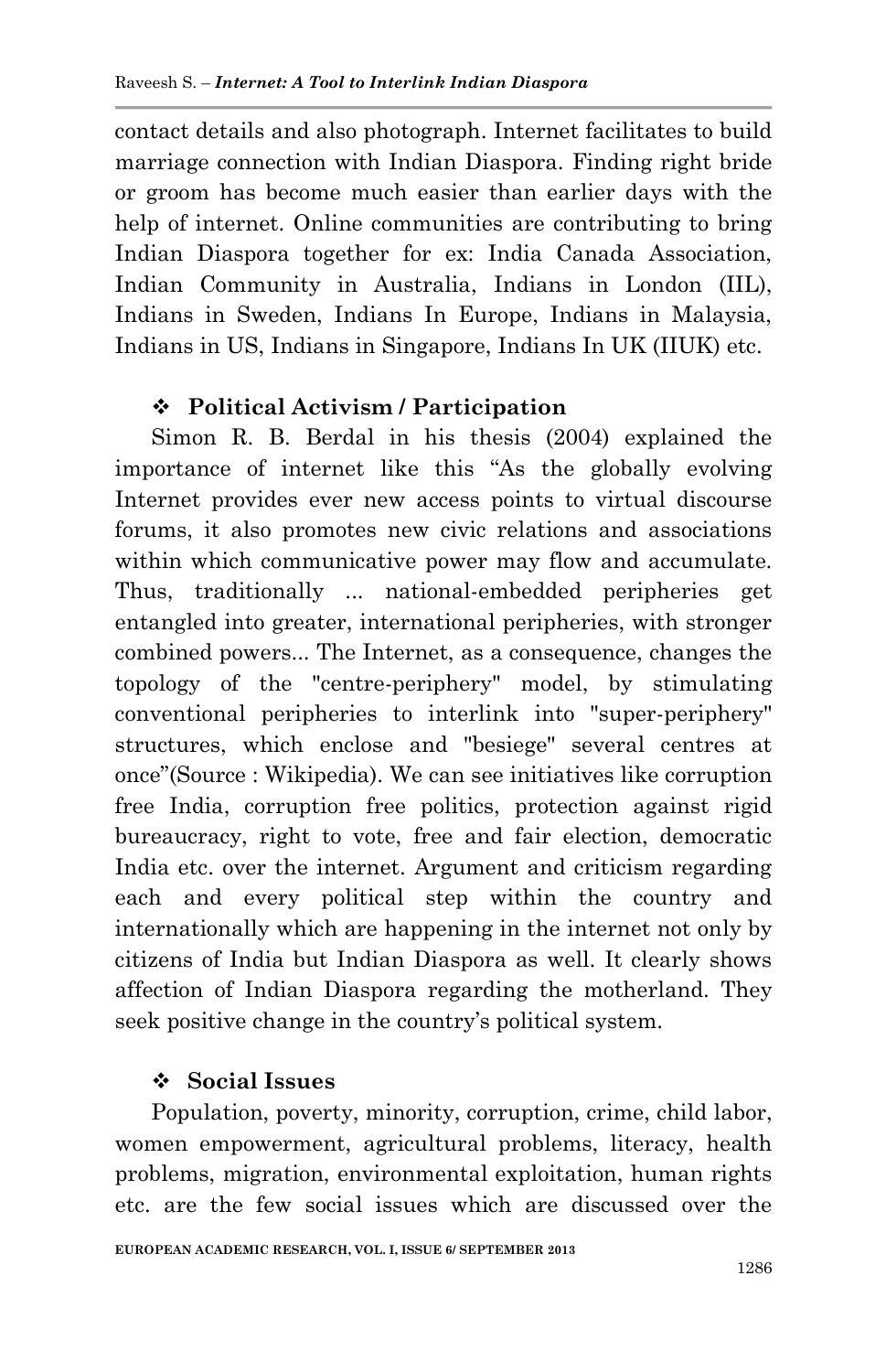contact details and also photograph. Internet facilitates to build marriage connection with Indian Diaspora. Finding right bride or groom has become much easier than earlier days with the help of internet. Online communities are contributing to bring Indian Diaspora together for ex: India Canada Association, Indian Community in Australia, Indians in London (IIL), Indians in Sweden, Indians In Europe, Indians in Malaysia, Indians in US, Indians in Singapore, Indians In UK (IIUK) etc.

### **Political Activism / Participation**

Simon R. B. Berdal in his thesis (2004) explained the importance of internet like this "As the globally evolving Internet provides ever new access points to virtual discourse forums, it also promotes new civic relations and associations within which communicative power may flow and accumulate. Thus, traditionally ... national-embedded peripheries get entangled into greater, international peripheries, with stronger combined powers... The Internet, as a consequence, changes the topology of the "centre-periphery" model, by stimulating conventional peripheries to interlink into "super-periphery" structures, which enclose and "besiege" several centres at once"(Source : Wikipedia). We can see initiatives like corruption free India, corruption free politics, protection against rigid bureaucracy, right to vote, free and fair election, democratic India etc. over the internet. Argument and criticism regarding each and every political step within the country and internationally which are happening in the internet not only by citizens of India but Indian Diaspora as well. It clearly shows affection of Indian Diaspora regarding the motherland. They seek positive change in the country's political system.

#### **Social Issues**

Population, poverty, minority, corruption, crime, child labor, women empowerment, agricultural problems, literacy, health problems, migration, environmental exploitation, human rights etc. are the few social issues which are discussed over the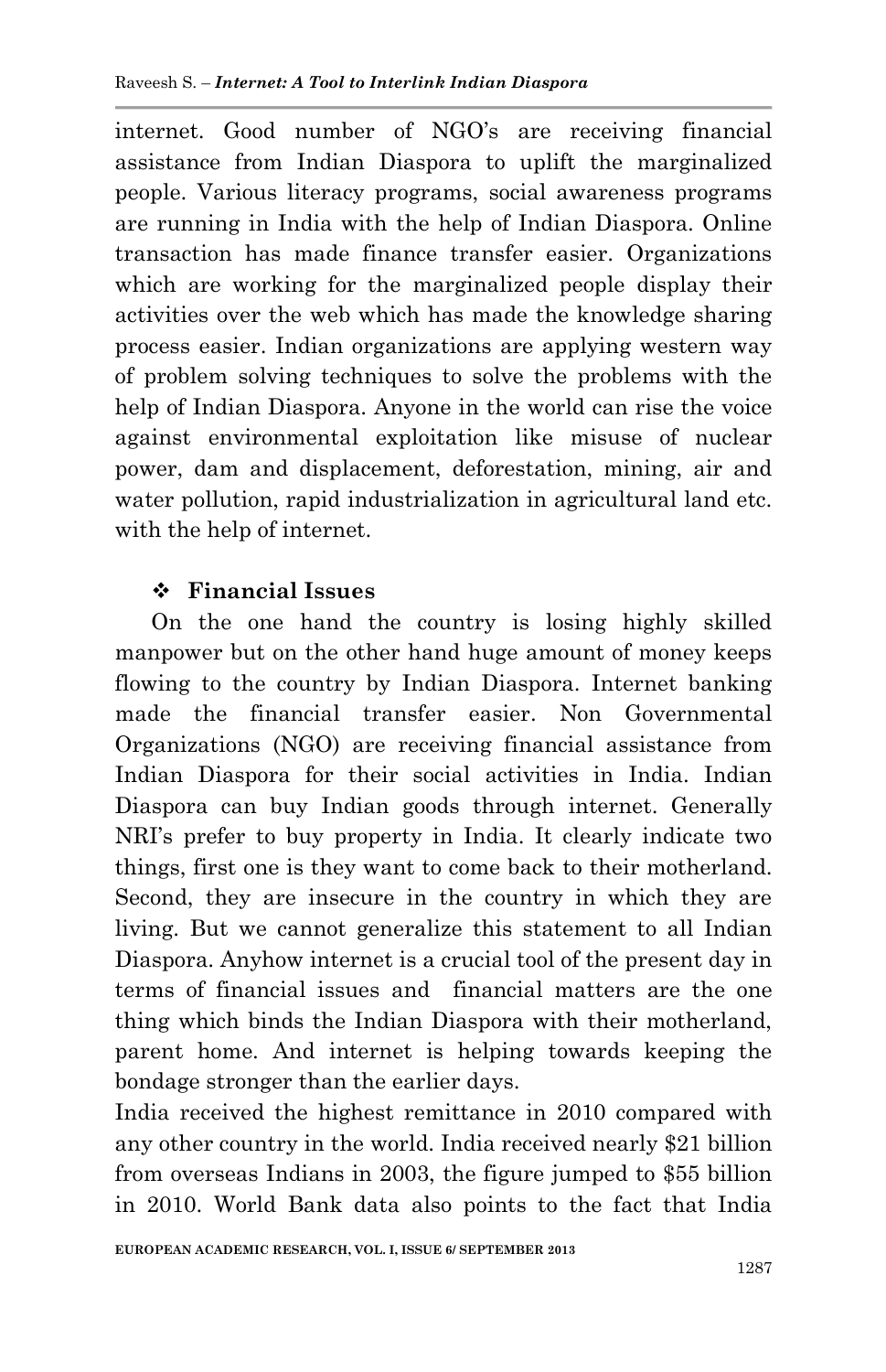internet. Good number of NGO"s are receiving financial assistance from Indian Diaspora to uplift the marginalized people. Various literacy programs, social awareness programs are running in India with the help of Indian Diaspora. Online transaction has made finance transfer easier. Organizations which are working for the marginalized people display their activities over the web which has made the knowledge sharing process easier. Indian organizations are applying western way of problem solving techniques to solve the problems with the help of Indian Diaspora. Anyone in the world can rise the voice against environmental exploitation like misuse of nuclear power, dam and displacement, deforestation, mining, air and water pollution, rapid industrialization in agricultural land etc. with the help of internet.

# **Financial Issues**

On the one hand the country is losing highly skilled manpower but on the other hand huge amount of money keeps flowing to the country by Indian Diaspora. Internet banking made the financial transfer easier. Non Governmental Organizations (NGO) are receiving financial assistance from Indian Diaspora for their social activities in India. Indian Diaspora can buy Indian goods through internet. Generally NRI"s prefer to buy property in India. It clearly indicate two things, first one is they want to come back to their motherland. Second, they are insecure in the country in which they are living. But we cannot generalize this statement to all Indian Diaspora. Anyhow internet is a crucial tool of the present day in terms of financial issues and financial matters are the one thing which binds the Indian Diaspora with their motherland, parent home. And internet is helping towards keeping the bondage stronger than the earlier days.

India received the highest remittance in 2010 compared with any other country in the world. India received nearly \$21 billion from overseas Indians in 2003, the figure jumped to \$55 billion in 2010. World Bank data also points to the fact that India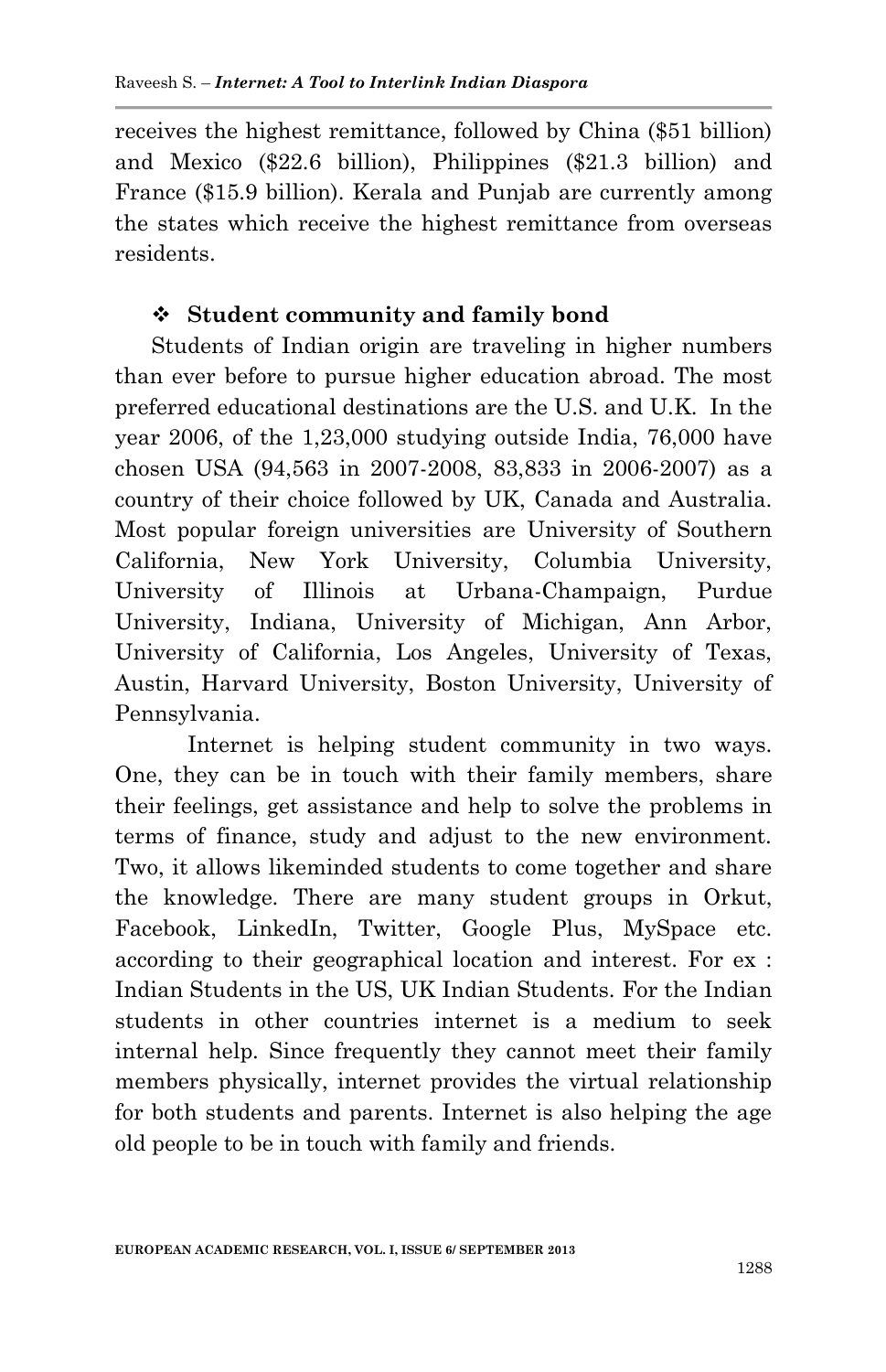receives the highest remittance, followed by China (\$51 billion) and Mexico (\$22.6 billion), Philippines (\$21.3 billion) and France (\$15.9 billion). Kerala and Punjab are currently among the states which receive the highest remittance from overseas residents.

# **Student community and family bond**

Students of Indian origin are traveling in higher numbers than ever before to pursue higher education abroad. The most preferred educational destinations are the U.S. and U.K. In the year 2006, of the 1,23,000 studying outside India, 76,000 have chosen USA (94,563 in 2007-2008, 83,833 in 2006-2007) as a country of their choice followed by UK, Canada and Australia. Most popular foreign universities are University of Southern California, New York University, Columbia University, University of Illinois at Urbana-Champaign, Purdue University, Indiana, University of Michigan, Ann Arbor, University of California, Los Angeles, University of Texas, Austin, Harvard University, Boston University, University of Pennsylvania.

Internet is helping student community in two ways. One, they can be in touch with their family members, share their feelings, get assistance and help to solve the problems in terms of finance, study and adjust to the new environment. Two, it allows likeminded students to come together and share the knowledge. There are many student groups in Orkut, Facebook, LinkedIn, Twitter, Google Plus, MySpace etc. according to their geographical location and interest. For ex : Indian Students in the US, UK Indian Students. For the Indian students in other countries internet is a medium to seek internal help. Since frequently they cannot meet their family members physically, internet provides the virtual relationship for both students and parents. Internet is also helping the age old people to be in touch with family and friends.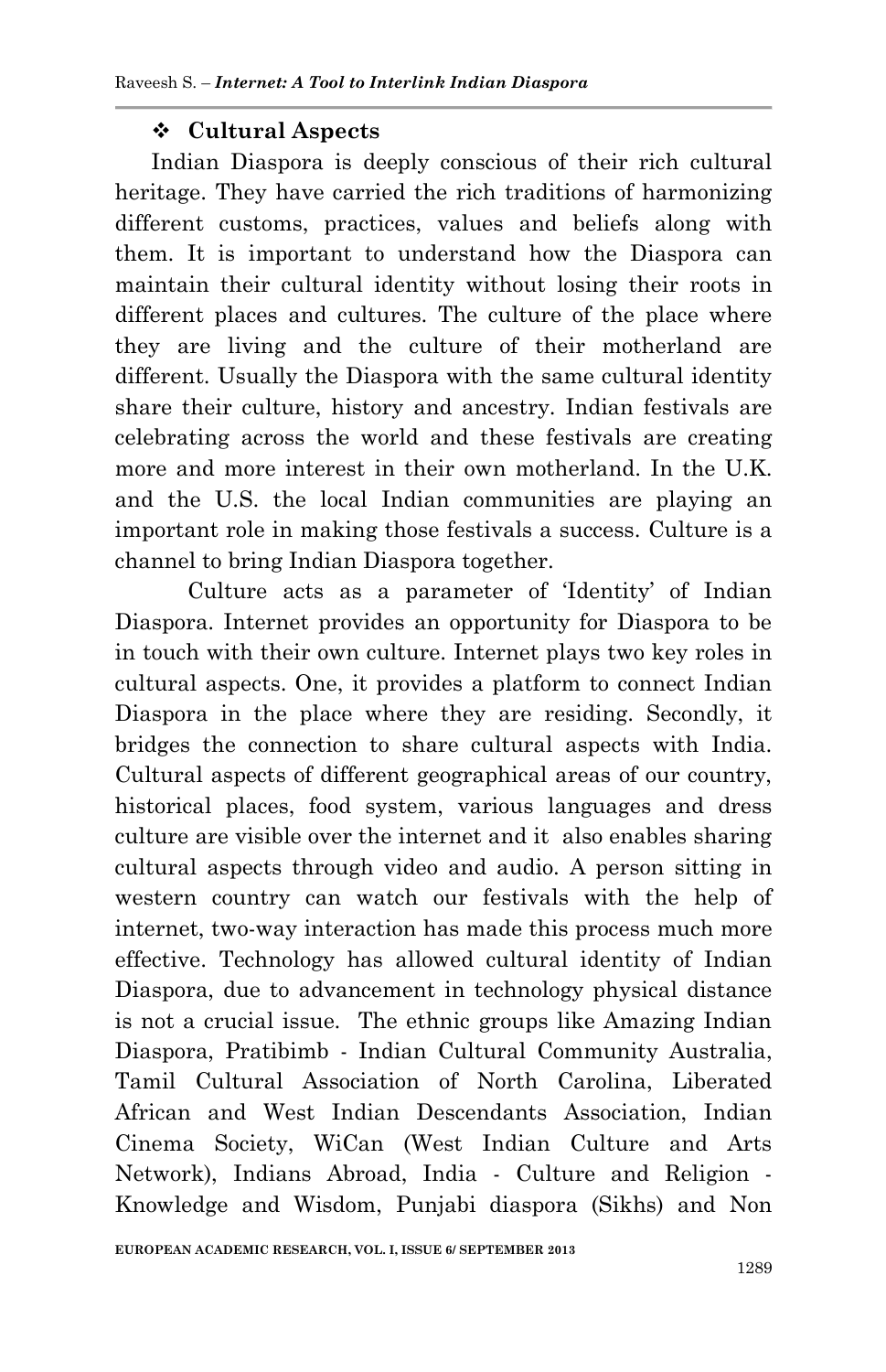# **Cultural Aspects**

Indian Diaspora is deeply conscious of their rich cultural heritage. They have carried the rich traditions of harmonizing different customs, practices, values and beliefs along with them. It is important to understand how the Diaspora can maintain their cultural identity without losing their roots in different places and cultures. The culture of the place where they are living and the culture of their motherland are different. Usually the Diaspora with the same cultural identity share their culture, history and ancestry. Indian festivals are celebrating across the world and these festivals are creating more and more interest in their own motherland. In the U.K. and the U.S. the local Indian communities are playing an important role in making those festivals a success. Culture is a channel to bring Indian Diaspora together.

Culture acts as a parameter of "Identity" of Indian Diaspora. Internet provides an opportunity for Diaspora to be in touch with their own culture. Internet plays two key roles in cultural aspects. One, it provides a platform to connect Indian Diaspora in the place where they are residing. Secondly, it bridges the connection to share cultural aspects with India. Cultural aspects of different geographical areas of our country, historical places, food system, various languages and dress culture are visible over the internet and it also enables sharing cultural aspects through video and audio. A person sitting in western country can watch our festivals with the help of internet, two-way interaction has made this process much more effective. Technology has allowed cultural identity of Indian Diaspora, due to advancement in technology physical distance is not a crucial issue. The ethnic groups like Amazing Indian Diaspora, Pratibimb - Indian Cultural Community Australia, Tamil Cultural Association of North Carolina, Liberated African and West Indian Descendants Association, Indian Cinema Society, WiCan (West Indian Culture and Arts Network), Indians Abroad, India - Culture and Religion - Knowledge and Wisdom, Punjabi diaspora (Sikhs) and Non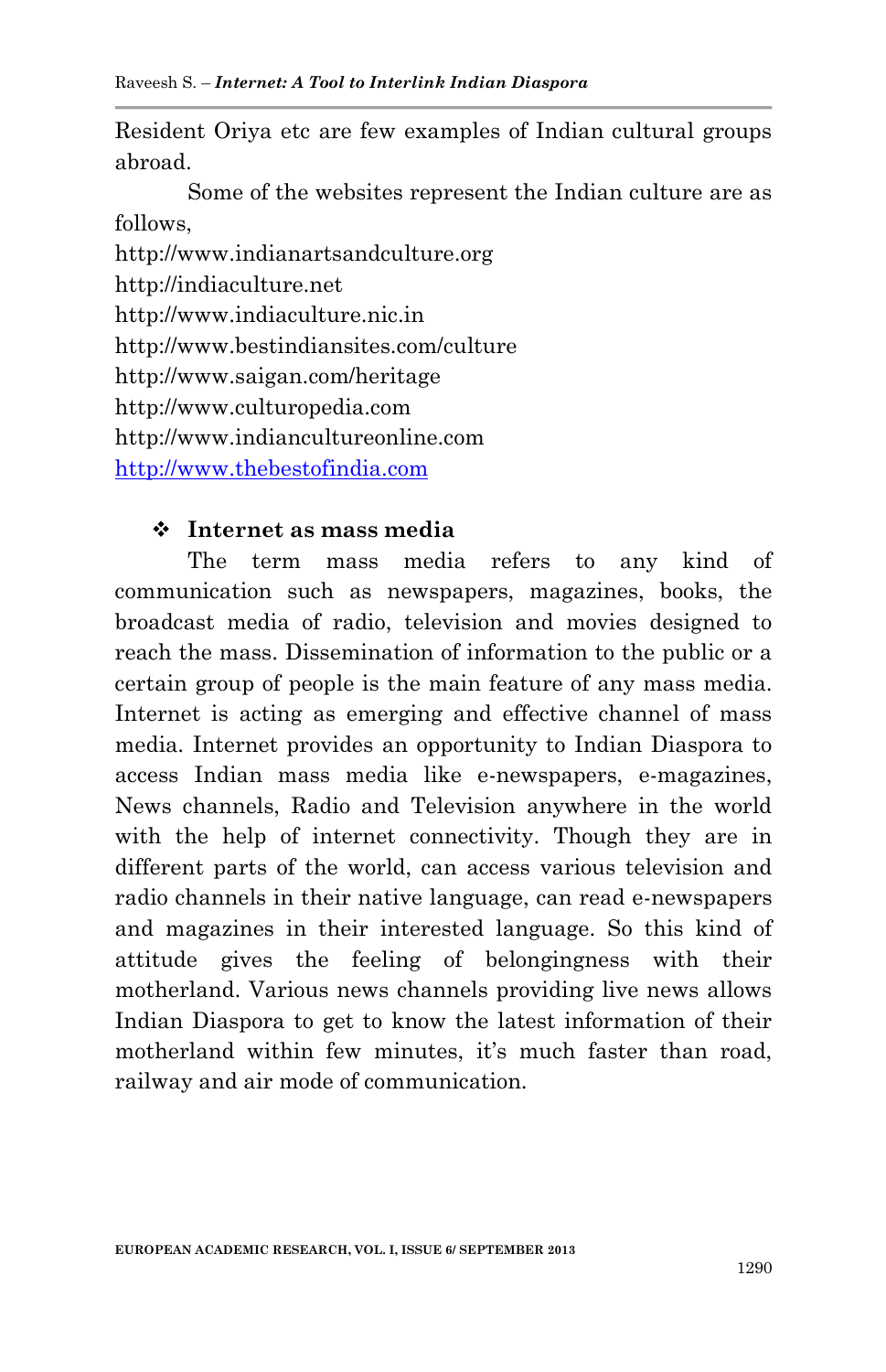Resident Oriya etc are few examples of Indian cultural groups abroad.

Some of the websites represent the Indian culture are as follows, http://www.indianartsandculture.org http://indiaculture.net http://www.indiaculture.nic.in

http://www.bestindiansites.com/culture

http://www.saigan.com/heritage

http://www.culturopedia.com

http://www.indiancultureonline.com

[http://www.thebestofindia.com](http://www.thebestofindia.com/)

#### **Internet as mass media**

 The term mass media refers to any kind of communication such as newspapers, magazines, books, the broadcast media of radio, television and movies designed to reach the mass. Dissemination of information to the public or a certain group of people is the main feature of any mass media. Internet is acting as emerging and effective channel of mass media. Internet provides an opportunity to Indian Diaspora to access Indian mass media like e-newspapers, e-magazines, News channels, Radio and Television anywhere in the world with the help of internet connectivity. Though they are in different parts of the world, can access various television and radio channels in their native language, can read e-newspapers and magazines in their interested language. So this kind of attitude gives the feeling of belongingness with their motherland. Various news channels providing live news allows Indian Diaspora to get to know the latest information of their motherland within few minutes, it's much faster than road, railway and air mode of communication.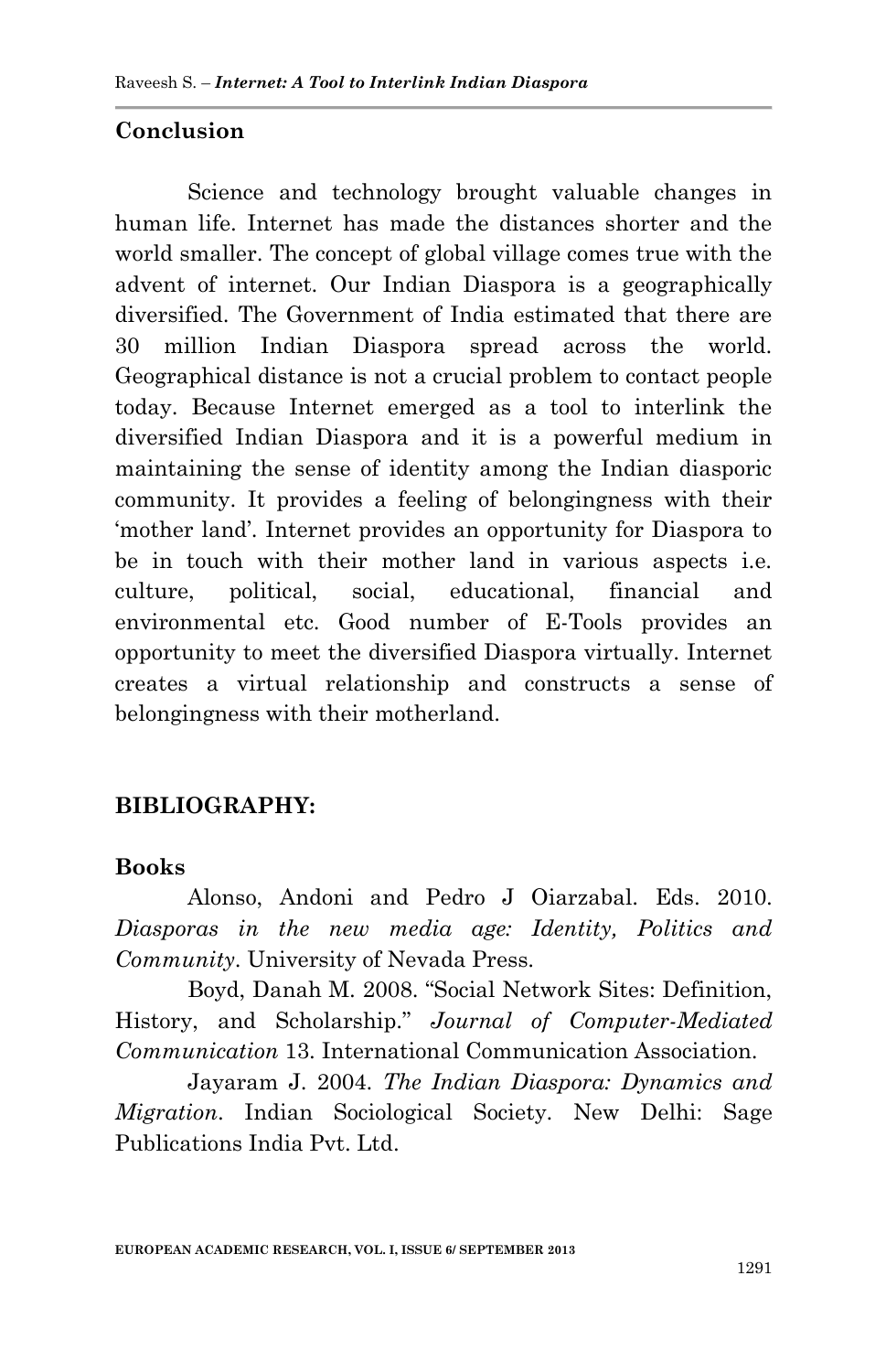# **Conclusion**

Science and technology brought valuable changes in human life. Internet has made the distances shorter and the world smaller. The concept of global village comes true with the advent of internet. Our Indian Diaspora is a geographically diversified. The Government of India estimated that there are 30 million Indian Diaspora spread across the world. Geographical distance is not a crucial problem to contact people today. Because Internet emerged as a tool to interlink the diversified Indian Diaspora and it is a powerful medium in maintaining the sense of identity among the Indian diasporic community. It provides a feeling of belongingness with their mother land'. Internet provides an opportunity for Diaspora to be in touch with their mother land in various aspects i.e. culture, political, social, educational, financial and environmental etc. Good number of E-Tools provides an opportunity to meet the diversified Diaspora virtually. Internet creates a virtual relationship and constructs a sense of belongingness with their motherland.

# **BIBLIOGRAPHY:**

#### **Books**

Alonso, Andoni and Pedro J Oiarzabal. Eds. 2010. *Diasporas in the new media age: Identity, Politics and Community*. University of Nevada Press.

Boyd, Danah M. 2008. "Social Network Sites: Definition, History, and Scholarship." *Journal of Computer-Mediated Communication* 13. International Communication Association.

Jayaram J. 2004. *The Indian Diaspora: Dynamics and Migration*. Indian Sociological Society. New Delhi: Sage Publications India Pvt. Ltd.